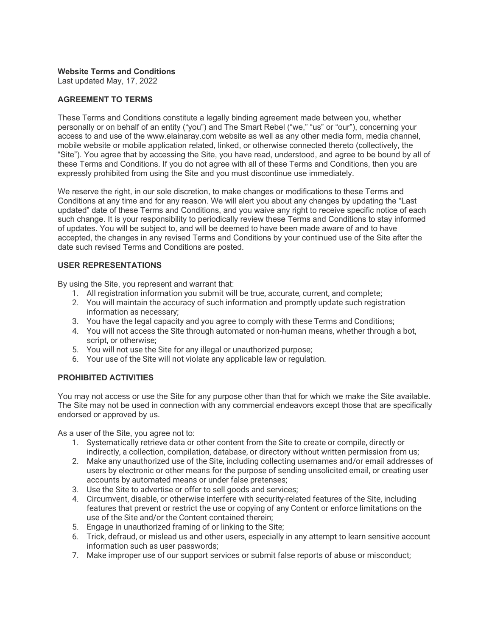### **Website Terms and Conditions**

Last updated May, 17, 2022

## **AGREEMENT TO TERMS**

These Terms and Conditions constitute a legally binding agreement made between you, whether personally or on behalf of an entity ("you") and The Smart Rebel ("we," "us" or "our"), concerning your access to and use of the www.elainaray.com website as well as any other media form, media channel, mobile website or mobile application related, linked, or otherwise connected thereto (collectively, the "Site"). You agree that by accessing the Site, you have read, understood, and agree to be bound by all of these Terms and Conditions. If you do not agree with all of these Terms and Conditions, then you are expressly prohibited from using the Site and you must discontinue use immediately.

We reserve the right, in our sole discretion, to make changes or modifications to these Terms and Conditions at any time and for any reason. We will alert you about any changes by updating the "Last updated" date of these Terms and Conditions, and you waive any right to receive specific notice of each such change. It is your responsibility to periodically review these Terms and Conditions to stay informed of updates. You will be subject to, and will be deemed to have been made aware of and to have accepted, the changes in any revised Terms and Conditions by your continued use of the Site after the date such revised Terms and Conditions are posted.

## **USER REPRESENTATIONS**

By using the Site, you represent and warrant that:

- 1. All registration information you submit will be true, accurate, current, and complete;
- 2. You will maintain the accuracy of such information and promptly update such registration information as necessary;
- 3. You have the legal capacity and you agree to comply with these Terms and Conditions;
- 4. You will not access the Site through automated or non-human means, whether through a bot, script, or otherwise;
- 5. You will not use the Site for any illegal or unauthorized purpose;
- 6. Your use of the Site will not violate any applicable law or regulation.

# **PROHIBITED ACTIVITIES**

You may not access or use the Site for any purpose other than that for which we make the Site available. The Site may not be used in connection with any commercial endeavors except those that are specifically endorsed or approved by us.

As a user of the Site, you agree not to:

- 1. Systematically retrieve data or other content from the Site to create or compile, directly or indirectly, a collection, compilation, database, or directory without written permission from us;
- 2. Make any unauthorized use of the Site, including collecting usernames and/or email addresses of users by electronic or other means for the purpose of sending unsolicited email, or creating user accounts by automated means or under false pretenses;
- 3. Use the Site to advertise or offer to sell goods and services;
- 4. Circumvent, disable, or otherwise interfere with security-related features of the Site, including features that prevent or restrict the use or copying of any Content or enforce limitations on the use of the Site and/or the Content contained therein;
- 5. Engage in unauthorized framing of or linking to the Site;
- 6. Trick, defraud, or mislead us and other users, especially in any attempt to learn sensitive account information such as user passwords;
- 7. Make improper use of our support services or submit false reports of abuse or misconduct;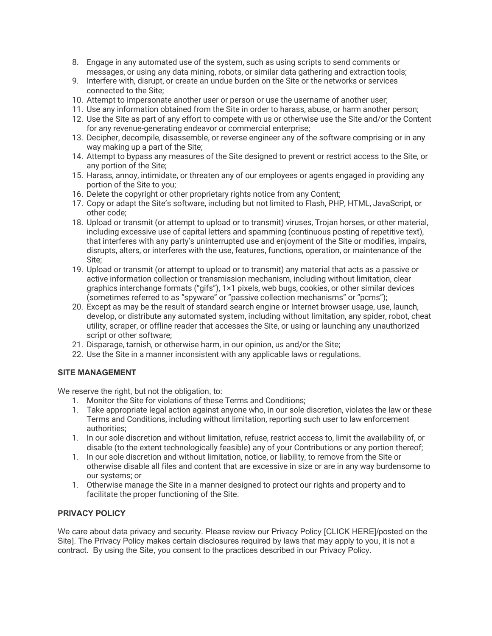- 8. Engage in any automated use of the system, such as using scripts to send comments or messages, or using any data mining, robots, or similar data gathering and extraction tools;
- 9. Interfere with, disrupt, or create an undue burden on the Site or the networks or services connected to the Site;
- 10. Attempt to impersonate another user or person or use the username of another user;
- 11. Use any information obtained from the Site in order to harass, abuse, or harm another person;
- 12. Use the Site as part of any effort to compete with us or otherwise use the Site and/or the Content for any revenue-generating endeavor or commercial enterprise;
- 13. Decipher, decompile, disassemble, or reverse engineer any of the software comprising or in any way making up a part of the Site;
- 14. Attempt to bypass any measures of the Site designed to prevent or restrict access to the Site, or any portion of the Site;
- 15. Harass, annoy, intimidate, or threaten any of our employees or agents engaged in providing any portion of the Site to you;
- 16. Delete the copyright or other proprietary rights notice from any Content;
- 17. Copy or adapt the Site's software, including but not limited to Flash, PHP, HTML, JavaScript, or other code;
- 18. Upload or transmit (or attempt to upload or to transmit) viruses, Trojan horses, or other material, including excessive use of capital letters and spamming (continuous posting of repetitive text), that interferes with any party's uninterrupted use and enjoyment of the Site or modifies, impairs, disrupts, alters, or interferes with the use, features, functions, operation, or maintenance of the Site;
- 19. Upload or transmit (or attempt to upload or to transmit) any material that acts as a passive or active information collection or transmission mechanism, including without limitation, clear graphics interchange formats ("gifs"), 1×1 pixels, web bugs, cookies, or other similar devices (sometimes referred to as "spyware" or "passive collection mechanisms" or "pcms");
- 20. Except as may be the result of standard search engine or Internet browser usage, use, launch, develop, or distribute any automated system, including without limitation, any spider, robot, cheat utility, scraper, or offline reader that accesses the Site, or using or launching any unauthorized script or other software;
- 21. Disparage, tarnish, or otherwise harm, in our opinion, us and/or the Site;
- 22. Use the Site in a manner inconsistent with any applicable laws or regulations.

# **SITE MANAGEMENT**

We reserve the right, but not the obligation, to:

- 1. Monitor the Site for violations of these Terms and Conditions;
- 1. Take appropriate legal action against anyone who, in our sole discretion, violates the law or these Terms and Conditions, including without limitation, reporting such user to law enforcement authorities;
- 1. In our sole discretion and without limitation, refuse, restrict access to, limit the availability of, or disable (to the extent technologically feasible) any of your Contributions or any portion thereof;
- 1. In our sole discretion and without limitation, notice, or liability, to remove from the Site or otherwise disable all files and content that are excessive in size or are in any way burdensome to our systems; or
- 1. Otherwise manage the Site in a manner designed to protect our rights and property and to facilitate the proper functioning of the Site.

# **PRIVACY POLICY**

We care about data privacy and security. Please review our Privacy Policy [CLICK HERE]/posted on the Site]. The Privacy Policy makes certain disclosures required by laws that may apply to you, it is not a contract. By using the Site, you consent to the practices described in our Privacy Policy.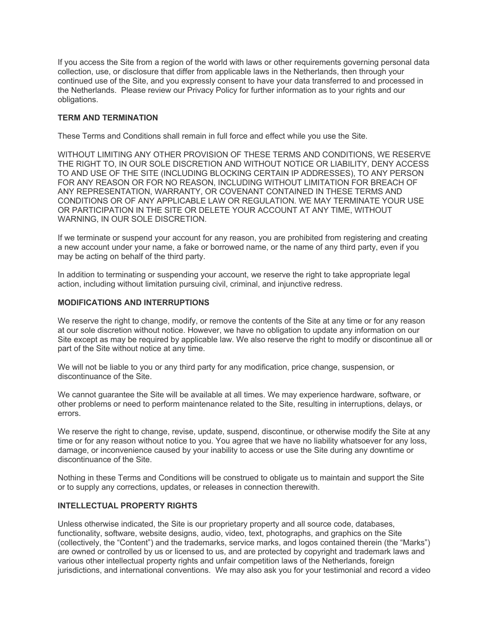If you access the Site from a region of the world with laws or other requirements governing personal data collection, use, or disclosure that differ from applicable laws in the Netherlands, then through your continued use of the Site, and you expressly consent to have your data transferred to and processed in the Netherlands. Please review our Privacy Policy for further information as to your rights and our obligations.

## **TERM AND TERMINATION**

These Terms and Conditions shall remain in full force and effect while you use the Site.

WITHOUT LIMITING ANY OTHER PROVISION OF THESE TERMS AND CONDITIONS, WE RESERVE THE RIGHT TO, IN OUR SOLE DISCRETION AND WITHOUT NOTICE OR LIABILITY, DENY ACCESS TO AND USE OF THE SITE (INCLUDING BLOCKING CERTAIN IP ADDRESSES), TO ANY PERSON FOR ANY REASON OR FOR NO REASON, INCLUDING WITHOUT LIMITATION FOR BREACH OF ANY REPRESENTATION, WARRANTY, OR COVENANT CONTAINED IN THESE TERMS AND CONDITIONS OR OF ANY APPLICABLE LAW OR REGULATION. WE MAY TERMINATE YOUR USE OR PARTICIPATION IN THE SITE OR DELETE YOUR ACCOUNT AT ANY TIME, WITHOUT WARNING, IN OUR SOLE DISCRETION.

If we terminate or suspend your account for any reason, you are prohibited from registering and creating a new account under your name, a fake or borrowed name, or the name of any third party, even if you may be acting on behalf of the third party.

In addition to terminating or suspending your account, we reserve the right to take appropriate legal action, including without limitation pursuing civil, criminal, and injunctive redress.

#### **MODIFICATIONS AND INTERRUPTIONS**

We reserve the right to change, modify, or remove the contents of the Site at any time or for any reason at our sole discretion without notice. However, we have no obligation to update any information on our Site except as may be required by applicable law. We also reserve the right to modify or discontinue all or part of the Site without notice at any time.

We will not be liable to you or any third party for any modification, price change, suspension, or discontinuance of the Site.

We cannot guarantee the Site will be available at all times. We may experience hardware, software, or other problems or need to perform maintenance related to the Site, resulting in interruptions, delays, or errors.

We reserve the right to change, revise, update, suspend, discontinue, or otherwise modify the Site at any time or for any reason without notice to you. You agree that we have no liability whatsoever for any loss, damage, or inconvenience caused by your inability to access or use the Site during any downtime or discontinuance of the Site.

Nothing in these Terms and Conditions will be construed to obligate us to maintain and support the Site or to supply any corrections, updates, or releases in connection therewith.

## **INTELLECTUAL PROPERTY RIGHTS**

Unless otherwise indicated, the Site is our proprietary property and all source code, databases, functionality, software, website designs, audio, video, text, photographs, and graphics on the Site (collectively, the "Content") and the trademarks, service marks, and logos contained therein (the "Marks") are owned or controlled by us or licensed to us, and are protected by copyright and trademark laws and various other intellectual property rights and unfair competition laws of the Netherlands, foreign jurisdictions, and international conventions. We may also ask you for your testimonial and record a video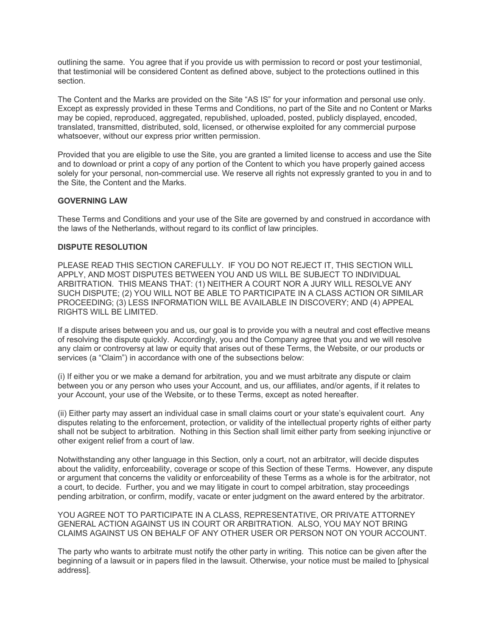outlining the same. You agree that if you provide us with permission to record or post your testimonial, that testimonial will be considered Content as defined above, subject to the protections outlined in this section.

The Content and the Marks are provided on the Site "AS IS" for your information and personal use only. Except as expressly provided in these Terms and Conditions, no part of the Site and no Content or Marks may be copied, reproduced, aggregated, republished, uploaded, posted, publicly displayed, encoded, translated, transmitted, distributed, sold, licensed, or otherwise exploited for any commercial purpose whatsoever, without our express prior written permission.

Provided that you are eligible to use the Site, you are granted a limited license to access and use the Site and to download or print a copy of any portion of the Content to which you have properly gained access solely for your personal, non-commercial use. We reserve all rights not expressly granted to you in and to the Site, the Content and the Marks.

## **GOVERNING LAW**

These Terms and Conditions and your use of the Site are governed by and construed in accordance with the laws of the Netherlands, without regard to its conflict of law principles.

#### **DISPUTE RESOLUTION**

PLEASE READ THIS SECTION CAREFULLY. IF YOU DO NOT REJECT IT, THIS SECTION WILL APPLY, AND MOST DISPUTES BETWEEN YOU AND US WILL BE SUBJECT TO INDIVIDUAL ARBITRATION. THIS MEANS THAT: (1) NEITHER A COURT NOR A JURY WILL RESOLVE ANY SUCH DISPUTE; (2) YOU WILL NOT BE ABLE TO PARTICIPATE IN A CLASS ACTION OR SIMILAR PROCEEDING; (3) LESS INFORMATION WILL BE AVAILABLE IN DISCOVERY; AND (4) APPEAL RIGHTS WILL BE LIMITED.

If a dispute arises between you and us, our goal is to provide you with a neutral and cost effective means of resolving the dispute quickly. Accordingly, you and the Company agree that you and we will resolve any claim or controversy at law or equity that arises out of these Terms, the Website, or our products or services (a "Claim") in accordance with one of the subsections below:

(i) If either you or we make a demand for arbitration, you and we must arbitrate any dispute or claim between you or any person who uses your Account, and us, our affiliates, and/or agents, if it relates to your Account, your use of the Website, or to these Terms, except as noted hereafter.

(ii) Either party may assert an individual case in small claims court or your state's equivalent court. Any disputes relating to the enforcement, protection, or validity of the intellectual property rights of either party shall not be subject to arbitration. Nothing in this Section shall limit either party from seeking injunctive or other exigent relief from a court of law.

Notwithstanding any other language in this Section, only a court, not an arbitrator, will decide disputes about the validity, enforceability, coverage or scope of this Section of these Terms. However, any dispute or argument that concerns the validity or enforceability of these Terms as a whole is for the arbitrator, not a court, to decide. Further, you and we may litigate in court to compel arbitration, stay proceedings pending arbitration, or confirm, modify, vacate or enter judgment on the award entered by the arbitrator.

YOU AGREE NOT TO PARTICIPATE IN A CLASS, REPRESENTATIVE, OR PRIVATE ATTORNEY GENERAL ACTION AGAINST US IN COURT OR ARBITRATION. ALSO, YOU MAY NOT BRING CLAIMS AGAINST US ON BEHALF OF ANY OTHER USER OR PERSON NOT ON YOUR ACCOUNT.

The party who wants to arbitrate must notify the other party in writing. This notice can be given after the beginning of a lawsuit or in papers filed in the lawsuit. Otherwise, your notice must be mailed to [physical address].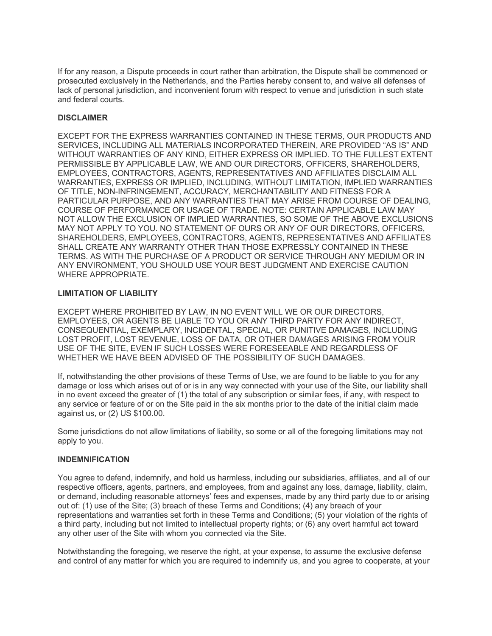If for any reason, a Dispute proceeds in court rather than arbitration, the Dispute shall be commenced or prosecuted exclusively in the Netherlands, and the Parties hereby consent to, and waive all defenses of lack of personal jurisdiction, and inconvenient forum with respect to venue and jurisdiction in such state and federal courts.

## **DISCLAIMER**

EXCEPT FOR THE EXPRESS WARRANTIES CONTAINED IN THESE TERMS, OUR PRODUCTS AND SERVICES, INCLUDING ALL MATERIALS INCORPORATED THEREIN, ARE PROVIDED "AS IS" AND WITHOUT WARRANTIES OF ANY KIND, EITHER EXPRESS OR IMPLIED. TO THE FULLEST EXTENT PERMISSIBLE BY APPLICABLE LAW, WE AND OUR DIRECTORS, OFFICERS, SHAREHOLDERS, EMPLOYEES, CONTRACTORS, AGENTS, REPRESENTATIVES AND AFFILIATES DISCLAIM ALL WARRANTIES, EXPRESS OR IMPLIED, INCLUDING, WITHOUT LIMITATION, IMPLIED WARRANTIES OF TITLE, NON-INFRINGEMENT, ACCURACY, MERCHANTABILITY AND FITNESS FOR A PARTICULAR PURPOSE, AND ANY WARRANTIES THAT MAY ARISE FROM COURSE OF DEALING, COURSE OF PERFORMANCE OR USAGE OF TRADE. NOTE: CERTAIN APPLICABLE LAW MAY NOT ALLOW THE EXCLUSION OF IMPLIED WARRANTIES, SO SOME OF THE ABOVE EXCLUSIONS MAY NOT APPLY TO YOU. NO STATEMENT OF OURS OR ANY OF OUR DIRECTORS, OFFICERS, SHAREHOLDERS, EMPLOYEES, CONTRACTORS, AGENTS, REPRESENTATIVES AND AFFILIATES SHALL CREATE ANY WARRANTY OTHER THAN THOSE EXPRESSLY CONTAINED IN THESE TERMS. AS WITH THE PURCHASE OF A PRODUCT OR SERVICE THROUGH ANY MEDIUM OR IN ANY ENVIRONMENT, YOU SHOULD USE YOUR BEST JUDGMENT AND EXERCISE CAUTION WHERE APPROPRIATE.

## **LIMITATION OF LIABILITY**

EXCEPT WHERE PROHIBITED BY LAW, IN NO EVENT WILL WE OR OUR DIRECTORS, EMPLOYEES, OR AGENTS BE LIABLE TO YOU OR ANY THIRD PARTY FOR ANY INDIRECT, CONSEQUENTIAL, EXEMPLARY, INCIDENTAL, SPECIAL, OR PUNITIVE DAMAGES, INCLUDING LOST PROFIT, LOST REVENUE, LOSS OF DATA, OR OTHER DAMAGES ARISING FROM YOUR USE OF THE SITE, EVEN IF SUCH LOSSES WERE FORESEEABLE AND REGARDLESS OF WHETHER WE HAVE BEEN ADVISED OF THE POSSIBILITY OF SUCH DAMAGES.

If, notwithstanding the other provisions of these Terms of Use, we are found to be liable to you for any damage or loss which arises out of or is in any way connected with your use of the Site, our liability shall in no event exceed the greater of (1) the total of any subscription or similar fees, if any, with respect to any service or feature of or on the Site paid in the six months prior to the date of the initial claim made against us, or (2) US \$100.00.

Some jurisdictions do not allow limitations of liability, so some or all of the foregoing limitations may not apply to you.

#### **INDEMNIFICATION**

You agree to defend, indemnify, and hold us harmless, including our subsidiaries, affiliates, and all of our respective officers, agents, partners, and employees, from and against any loss, damage, liability, claim, or demand, including reasonable attorneys' fees and expenses, made by any third party due to or arising out of: (1) use of the Site; (3) breach of these Terms and Conditions; (4) any breach of your representations and warranties set forth in these Terms and Conditions; (5) your violation of the rights of a third party, including but not limited to intellectual property rights; or (6) any overt harmful act toward any other user of the Site with whom you connected via the Site.

Notwithstanding the foregoing, we reserve the right, at your expense, to assume the exclusive defense and control of any matter for which you are required to indemnify us, and you agree to cooperate, at your